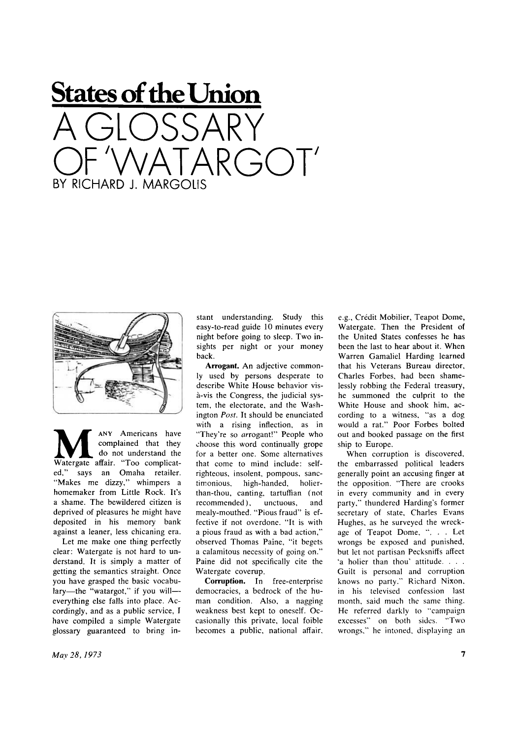## **States of the Union**  A GLOSSARY OF WATARGO T BY RICHARD J. MARGOLIS



**M** Watergate affair. "Too complicat-ANY Americans have complained that they do not understand the ed," says an Omaha retailer. "Makes me dizzy," whimpers a homemaker from Little Rock. It's a shame. The bewildered citizen is deprived of pleasures he might have deposited in his memory bank against a leaner, less chicaning era.

Let me make one thing perfectly clear: Watergate is not hard to understand. It is simply a matter of getting the semantics straight. Once you have grasped the basic vocabulary—the "watargot," if you will everything else falls into place. Ac cordingly, and as a public service, I have compiled a simple Watergate glossary guaranteed to bring instant understanding. Study this easy-to-read guide 10 minutes every night before going to sleep. Two insights per night or your money back.

Arrogant. An adjective commonly used by persons desperate to describe White House behavior visa-vis the Congress, the judicial system, the electorate, and the Washington *Post.* It should be enunciated with a rising inflection, as in "They're so arrogant!" People who choose this word continually grope for a better one. Some alternatives that come to mind include: selfrighteous, insolent, pompous, sanctimonious, high-handed, holierthan-thou, canting, tartuffian (not recommended), unctuous, and mealy-mouthed. "Pious fraud" is effective if not overdone. "It is with a pious fraud as with a bad action," observed Thomas Paine, "it begets a calamitous necessity of going on." Paine did not specifically cite the Watergate coverup.

**Corruption.** In free-enterprise democracies, a bedrock of the human condition. Also, a nagging weakness best kept to oneself. Occasionally this private, local foible becomes a public, national affair. e.g., Crédit Mobilier, Teapot Dome, Watergate. Then the President of the United States confesses he has been the last to hear about it. When Warren Gamaliel Harding learned that his Veterans Bureau director, Charles Forbes, had been shamelessly robbing the Federal treasury, he summoned the culprit to the White House and shook him, according to a witness, "as a dog would a rat." Poor Forbes bolted out and booked passage on the first ship to Europe.

When corruption is discovered, the embarrassed political leaders generally point an accusing finger at the opposition. "There are crooks in every community and in every party," thundered Harding's former secretary of state, Charles Evans Hughes, as he surveyed the wreckage of Teapot Dome, ". . . Let wrongs be exposed and punished, but let not partisan Pecksniffs affect 'a holier than thou' attitude. . . . Guilt is personal and corruption knows no party." Richard Nixon, in his televised confession last month, said much the same thing. He referred darkly to "campaign excesses" on both sides. "Two wrongs." he intoned, displaying an